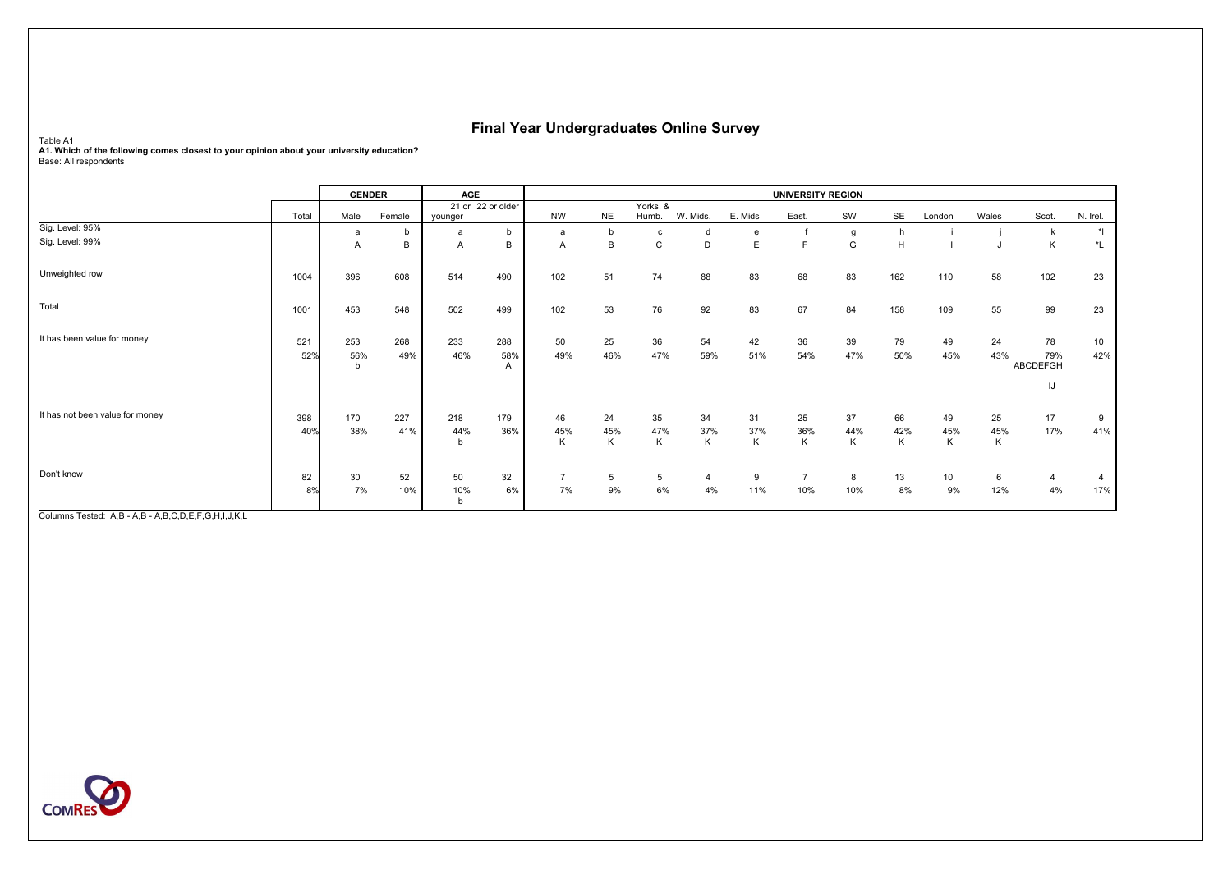Table A1<br>A1. Which of the following comes closest to your opinion about your university education?<br>Base: All respondents

|                                 |            | <b>GENDER</b>   |            |                 | AGE               |                      |                |                   |                      |                |                | <b>UNIVERSITY REGION</b> |                |                |                |                       |                        |  |
|---------------------------------|------------|-----------------|------------|-----------------|-------------------|----------------------|----------------|-------------------|----------------------|----------------|----------------|--------------------------|----------------|----------------|----------------|-----------------------|------------------------|--|
|                                 | Total      | Male            | Female     | younger         | 21 or 22 or older | <b>NW</b>            | <b>NE</b>      | Yorks. &<br>Humb. | W. Mids.             | E. Mids        | East.          | SW                       | SE             | London         | Wales          | Scot.                 | N. Irel.               |  |
| Sig. Level: 95%                 |            | a               |            | $\overline{a}$  | b                 | a                    |                |                   | d                    | e              |                | g                        | h              |                |                | k                     | $^{\star}$             |  |
| Sig. Level: 99%                 |            | $\overline{A}$  | B          | A               | B                 | A                    | B              | ı,                | D                    | E              |                | G                        | H              |                |                | К                     | $^{\star}$ L           |  |
| Unweighted row                  | 1004       | 396             | 608        | 514             | 490               | 102                  | 51             | 74                | 88                   | 83             | 68             | 83                       | 162            | 110            | 58             | 102                   | 23                     |  |
| Total                           | 1001       | 453             | 548        | 502             | 499               | 102                  | 53             | 76                | 92                   | 83             | 67             | 84                       | 158            | 109            | 55             | 99                    | 23                     |  |
| It has been value for money     | 521<br>52% | 253<br>56%<br>b | 268<br>49% | 233<br>46%      | 288<br>58%<br>A   | 50<br>49%            | 25<br>46%      | 36<br>47%         | 54<br>59%            | 42<br>51%      | 36<br>54%      | 39<br>47%                | 79<br>50%      | 49<br>45%      | 24<br>43%      | 78<br>79%<br>ABCDEFGH | 10 <sup>1</sup><br>42% |  |
|                                 |            |                 |            |                 |                   |                      |                |                   |                      |                |                |                          |                |                |                | IJ                    |                        |  |
| It has not been value for money | 398<br>40% | 170<br>38%      | 227<br>41% | 218<br>44%<br>b | 179<br>36%        | 46<br>45%<br>Κ       | 24<br>45%<br>K | 35<br>47%<br>Κ    | 34<br>37%<br>Κ       | 31<br>37%<br>К | 25<br>36%<br>Κ | 37<br>44%<br>Κ           | 66<br>42%<br>K | 49<br>45%<br>Κ | 25<br>45%<br>Κ | 17<br>17%             | 9<br>41%               |  |
| Don't know                      | 82<br>8%   | 30<br>7%        | 52<br>10%  | 50<br>10%<br>b  | 32<br>6%          | $\overline{7}$<br>7% | 5<br>9%        | 5<br>6%           | $\overline{4}$<br>4% | 9<br>11%       | 10%            | 8<br>10%                 | 13<br>8%       | 10<br>9%       | 6<br>12%       | 4<br>4%               | 17%                    |  |

Columns Tested: A,B - A,B - A,B,C,D,E,F,G,H,I,J,K,L

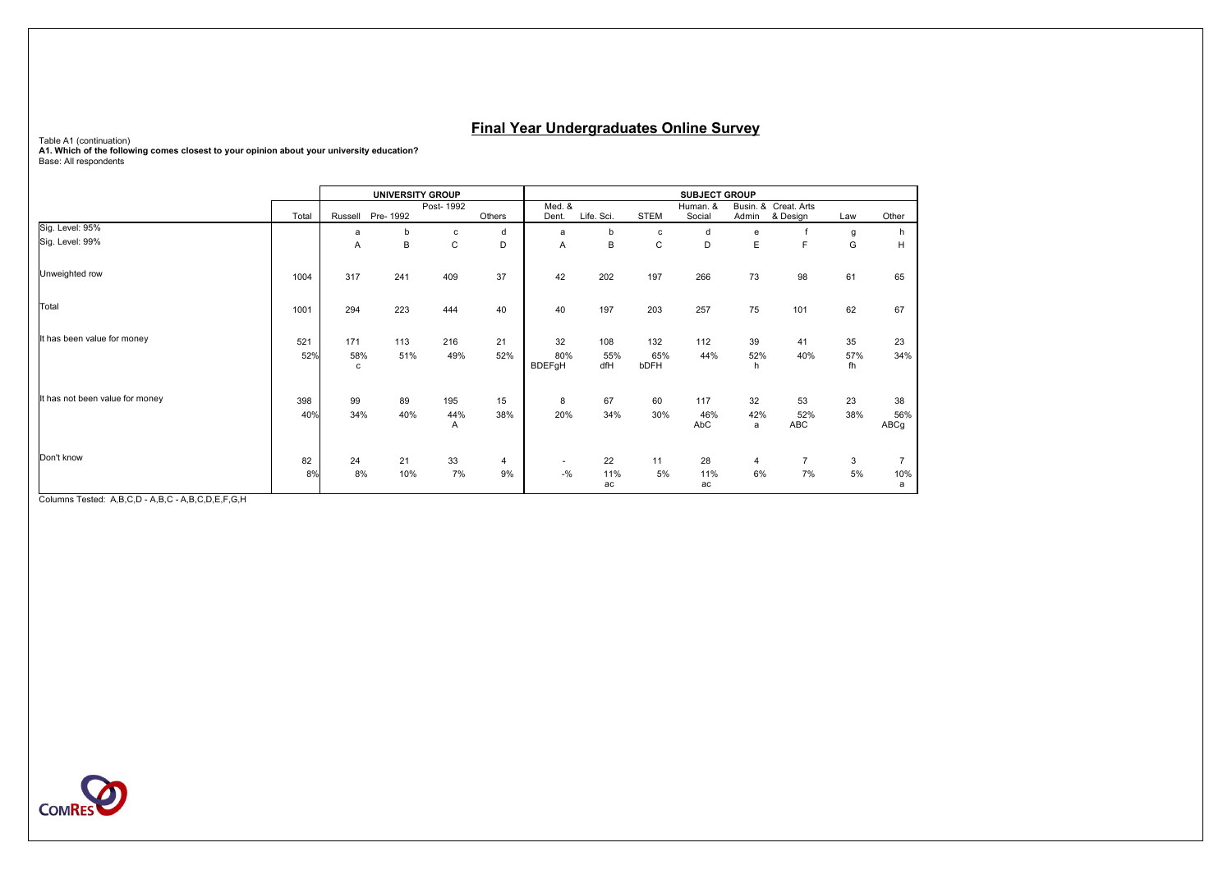Table A1 (continuation)<br>**A1. Which of the following comes closest to your opinion about your university education?**<br>Base: All respondents

|                                 |       |          |          | <b>UNIVERSITY GROUP</b> |                | <b>SUBJECT GROUP</b> |            |             |                    |          |                                  |           |                |  |  |
|---------------------------------|-------|----------|----------|-------------------------|----------------|----------------------|------------|-------------|--------------------|----------|----------------------------------|-----------|----------------|--|--|
|                                 | Total | Russell  | Pre-1992 | Post-1992               | Others         | Med. &<br>Dent.      | Life. Sci. | <b>STEM</b> | Human. &<br>Social | Admin    | Busin. & Creat. Arts<br>& Design | Law       | Other          |  |  |
| Sig. Level: 95%                 |       | a        | b        | с                       | d              | a                    | b          | c           | d                  | e        |                                  | g         | h              |  |  |
| Sig. Level: 99%                 |       | Α        | B        | C                       | D              | Α                    | B          | C           | D                  | E        | E                                | G         | н              |  |  |
| Unweighted row                  | 1004  | 317      | 241      | 409                     | 37             | 42                   | 202        | 197         | 266                | 73       | 98                               | 61        | 65             |  |  |
| Total                           | 1001  | 294      | 223      | 444                     | 40             | 40                   | 197        | 203         | 257                | 75       | 101                              | 62        | 67             |  |  |
| It has been value for money     | 521   | 171      | 113      | 216                     | 21             | 32                   | 108        | 132         | 112                | 39       | 41                               | 35        | 23             |  |  |
|                                 | 52%   | 58%<br>c | 51%      | 49%                     | 52%            | 80%<br><b>BDEFgH</b> | 55%<br>dfH | 65%<br>bDFH | 44%                | 52%<br>h | 40%                              | 57%<br>fh | 34%            |  |  |
| It has not been value for money | 398   | 99       | 89       | 195                     | 15             | 8                    | 67         | 60          | 117                | 32       | 53                               | 23        | 38             |  |  |
|                                 | 40%   | 34%      | 40%      | 44%<br>$\overline{A}$   | 38%            | 20%                  | 34%        | 30%         | 46%<br>AbC         | 42%<br>a | 52%<br>ABC                       | 38%       | 56%<br>ABCg    |  |  |
| Don't know                      | 82    | 24       | 21       | 33                      | $\overline{4}$ | $\sim$               | 22         | 11          | 28                 | 4        | $\overline{7}$                   | 3         | $\overline{7}$ |  |  |
|                                 | 8%    | 8%       | 10%      | 7%                      | 9%             | $-$ %                | 11%<br>ac  | 5%          | 11%<br>ac          | 6%       | 7%                               | 5%        | 10%<br>a       |  |  |

Columns Tested: A,B,C,D - A,B,C - A,B,C,D,E,F,G,H

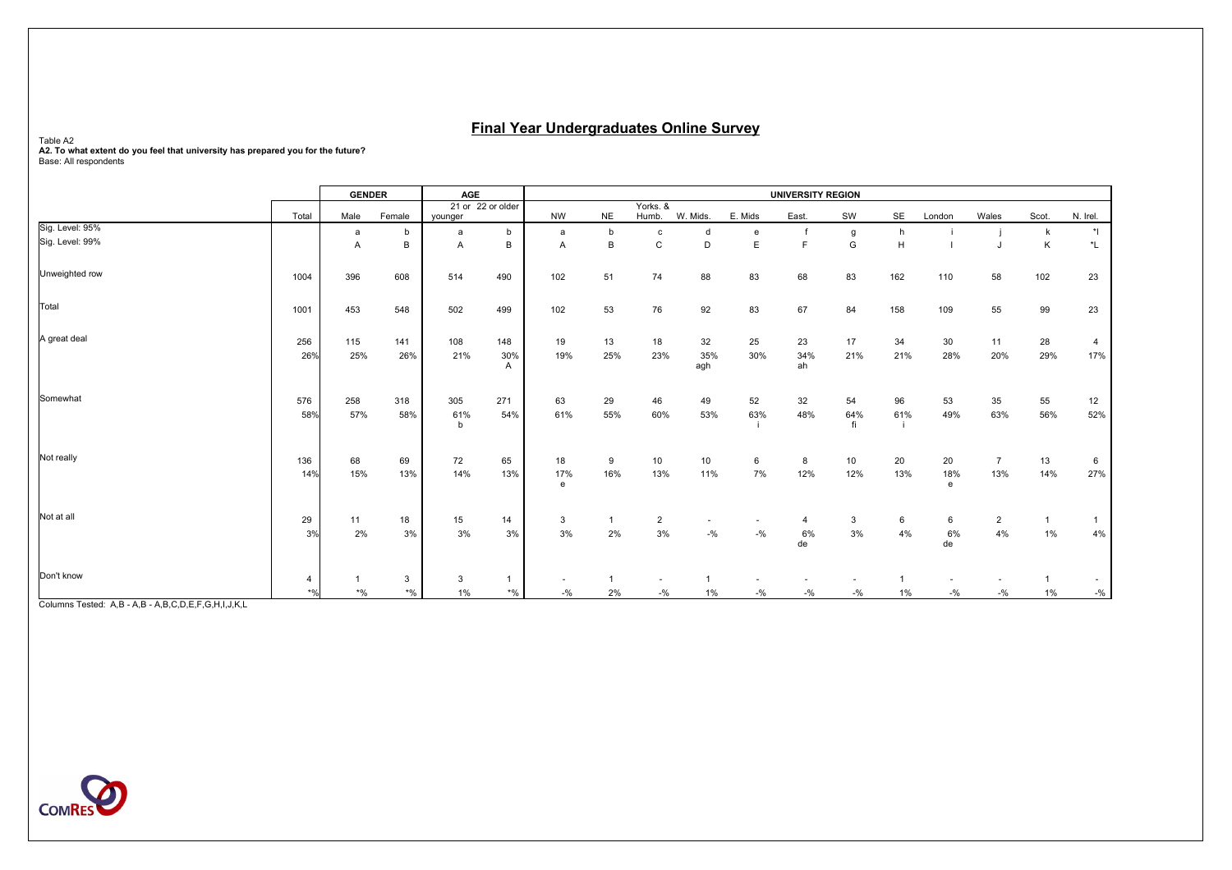Table A2<br>A2. To what extent do you feel that university has prepared you for the future?<br>Base: All respondents

|                 |                                      | <b>GENDER</b> |                           | AGE        |                   | <b>UNIVERSITY REGION</b> |           |                |            |         |                |           |       |                       |                |                |                      |
|-----------------|--------------------------------------|---------------|---------------------------|------------|-------------------|--------------------------|-----------|----------------|------------|---------|----------------|-----------|-------|-----------------------|----------------|----------------|----------------------|
|                 |                                      |               |                           |            | 21 or 22 or older |                          |           | Yorks, &       |            |         |                |           |       |                       |                |                |                      |
| Sig. Level: 95% | Total                                | Male          | Female                    | younger    |                   | <b>NW</b>                | <b>NE</b> | Humb.          | W. Mids.   | E. Mids | East.          | SW        | SE    | London                | Wales          | Scot.          | N. Irel.             |
|                 |                                      | a             | b                         | a          | b                 | a                        | b         | C              | d          | e       |                | g         | h     |                       |                | $\mathsf{k}$   | $\ddot{\phantom{1}}$ |
| Sig. Level: 99% |                                      | Α             | В                         | A          | B                 | Α                        | B         | C              | D          | E       | $\blacksquare$ | G         | H     |                       |                | K              | $^{\star}$ L         |
| Unweighted row  | 1004                                 | 396           | 608                       | 514        | 490               | 102                      | 51        | 74             | 88         | 83      | 68             | 83        | 162   | 110                   | 58             | 102            | 23                   |
| Total           | 1001                                 | 453           | 548                       | 502        | 499               | 102                      | 53        | 76             | 92         | 83      | 67             | 84        | 158   | 109                   | 55             | 99             | 23                   |
| A great deal    | 256                                  | 115           | 141                       | 108        | 148               | 19                       | 13        | 18             | 32         | 25      | 23             | 17        | 34    | 30                    | 11             | 28             | 4                    |
|                 | 26%                                  | 25%           | 26%                       | 21%        | 30%<br>A          | 19%                      | 25%       | 23%            | 35%<br>agh | 30%     | 34%<br>ah      | 21%       | 21%   | 28%                   | 20%            | 29%            | 17%                  |
| Somewhat        | 576                                  | 258           | 318                       | 305        | 271               | 63                       | 29        | 46             | 49         | 52      | 32             | 54        | 96    | 53                    | 35             | 55             | 12                   |
|                 | 58%                                  | 57%           | 58%                       | 61%<br>h   | 54%               | 61%                      | 55%       | 60%            | 53%        | 63%     | 48%            | 64%<br>fi | 61%   | 49%                   | 63%            | 56%            | 52%                  |
| Not really      | 136                                  | 68            | 69                        | 72         | 65                | 18                       | 9         | 10             | $10$       | 6       | 8              | 10        | 20    | 20                    | $\overline{7}$ | 13             | 6                    |
|                 | 14%                                  | 15%           | 13%                       | 14%        | 13%               | 17%<br>$\mathbf{e}$      | 16%       | 13%            | 11%        | 7%      | 12%            | 12%       | 13%   | 18%<br>$\mathsf{e}\,$ | 13%            | 14%            | 27%                  |
| Not at all      | 29                                   | 11            | 18                        | 15         | 14                | 3                        | 1         | $\overline{2}$ |            |         | 4              | 3         | 6     | 6                     | $\overline{2}$ | $\overline{1}$ | -1                   |
|                 | 3%                                   | 2%            | 3%                        | 3%         | 3%                | 3%                       | 2%        | 3%             | $-9/6$     | $-9/6$  | 6%<br>de       | 3%        | 4%    | 6%<br>de              | 4%             | $1\%$          | 4%                   |
| Don't know      |                                      |               |                           |            |                   |                          |           |                |            |         |                |           |       |                       |                |                |                      |
|                 | 4<br>$*$ <sup>0</sup> / <sub>0</sub> | $*$ %         | $\mathbf{3}$<br>$\star$ % | 3<br>$1\%$ | $*$ %             | $-9/6$                   | 2%        | $-$ %          | 1%         | $-9/6$  | $-9/6$         | $-9/6$    | $1\%$ | $-$ %                 | $-9/6$         | $1\%$          | $-9/6$               |
|                 |                                      |               |                           |            |                   |                          |           |                |            |         |                |           |       |                       |                |                |                      |

Columns Tested: A,B - A,B - A,B,C,D,E,F,G,H,I,J,K,L

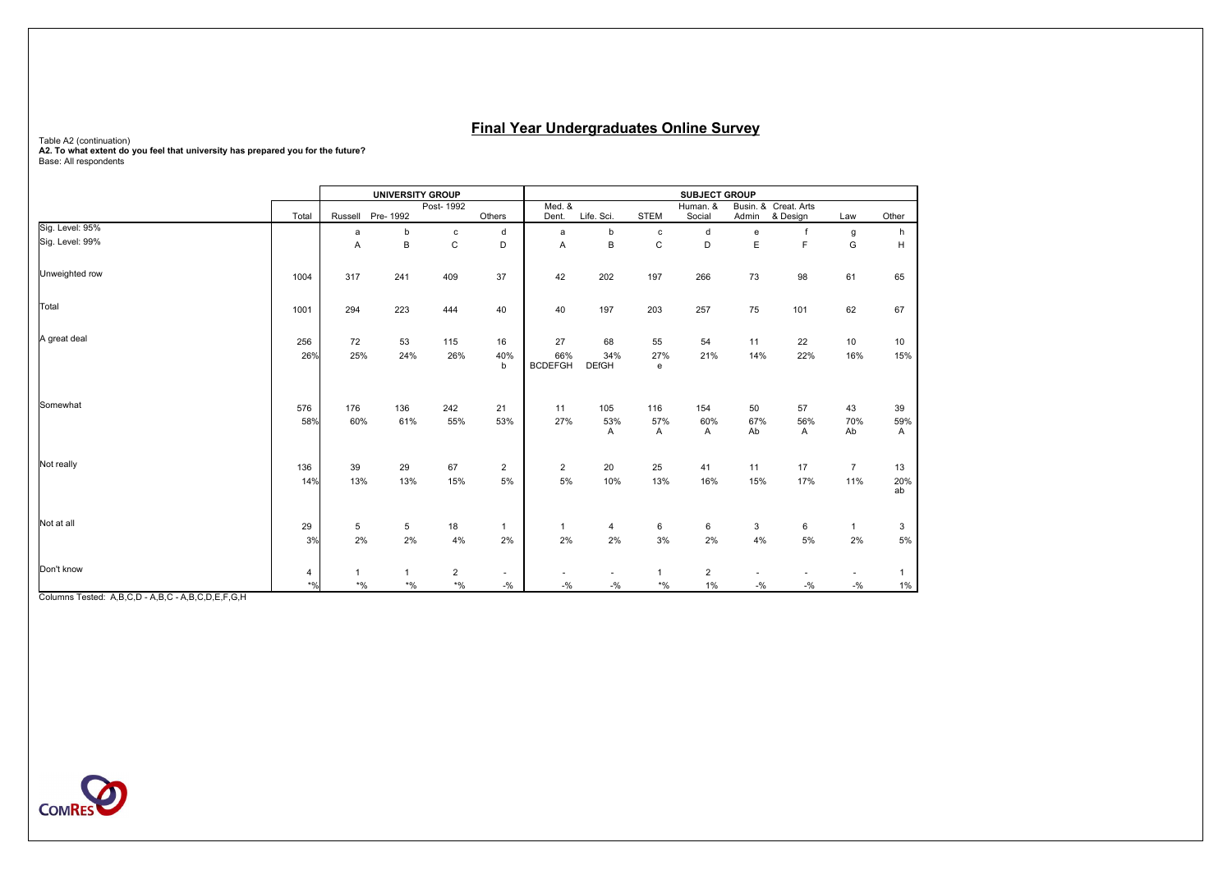# Table A2 (continuation)<br>**A2. To what extent do you feel that university has prepared you for the future?**<br>Base: All respondents

|                 |            |            | <b>UNIVERSITY GROUP</b> |                |                | <b>SUBJECT GROUP</b>  |                     |                |                |           |                      |                |                |  |  |
|-----------------|------------|------------|-------------------------|----------------|----------------|-----------------------|---------------------|----------------|----------------|-----------|----------------------|----------------|----------------|--|--|
|                 |            |            |                         | Post-1992      |                | Med. &                |                     |                | Human. &       |           | Busin. & Creat. Arts |                |                |  |  |
| Sig. Level: 95% | Total      | Russell    | Pre-1992                |                | Others         | Dent.                 | Life. Sci.          | <b>STEM</b>    | Social         | Admin     | & Design             | Law            | Other          |  |  |
|                 |            | a          | b                       | $\mathbf c$    | d              | a                     | b                   | $\mathbf{C}$   | d              | e         | $\mathsf{f}$         | g              | h              |  |  |
| Sig. Level: 99% |            | A          | B                       | C              | D              | A                     | B                   | $\mathsf C$    | D              | Ε         | F                    | G              | H              |  |  |
| Unweighted row  | 1004       | 317        | 241                     | 409            | 37             | 42                    | 202                 | 197            | 266            | 73        | 98                   | 61             | 65             |  |  |
| Total           | 1001       | 294        | 223                     | 444            | 40             | 40                    | 197                 | 203            | 257            | 75        | 101                  | 62             | 67             |  |  |
| A great deal    | 256        | 72         | 53                      | 115            | 16             | 27                    | 68                  | 55             | 54             | 11        | 22                   | 10             | 10             |  |  |
|                 | 26%        | 25%        | 24%                     | 26%            | 40%<br>b       | 66%<br><b>BCDEFGH</b> | 34%<br><b>DEfGH</b> | 27%<br>e       | 21%            | 14%       | 22%                  | 16%            | 15%            |  |  |
| Somewhat        | 576<br>58% | 176<br>60% | 136<br>61%              | 242<br>55%     | 21<br>53%      | 11<br>27%             | 105<br>53%          | 116<br>57%     | 154<br>60%     | 50<br>67% | 57<br>56%            | 43<br>70%      | 39<br>59%      |  |  |
|                 |            |            |                         |                |                |                       | A                   | A              | Α              | Ab        | Α                    | Ab             | Α              |  |  |
| Not really      | 136        | 39         | 29                      | 67             | $\overline{2}$ | $\overline{2}$        | 20                  | 25             | 41             | 11        | 17                   | $\overline{7}$ | 13             |  |  |
|                 | 14%        | 13%        | 13%                     | 15%            | 5%             | 5%                    | 10%                 | 13%            | 16%            | 15%       | 17%                  | 11%            | 20%<br>ab      |  |  |
| Not at all      | 29         | 5          | 5                       | 18             | $\mathbf{1}$   | $\mathbf{1}$          | 4                   | 6              | 6              | 3         | 6                    | $\mathbf{1}$   | 3              |  |  |
|                 | 3%         | 2%         | 2%                      | 4%             | 2%             | 2%                    | 2%                  | 3%             | 2%             | 4%        | 5%                   | 2%             | $5\%$          |  |  |
| Don't know      | 4          |            | $\mathbf{1}$            | $\overline{2}$ | $\sim$         |                       |                     | $\overline{1}$ | $\overline{2}$ |           |                      |                | $\overline{1}$ |  |  |
|                 | $*96$      | $\star$ %  | $^{\star}$ %            | $^{\star}$ %   | $-9/6$         | $-9/6$                | $-9/6$              | $\star$ %      | $1\%$          | $-10/6$   | $-9/6$               | $-9/6$         | $1\%$          |  |  |

Columns Tested: A,B,C,D - A,B,C - A,B,C,D,E,F,G,H

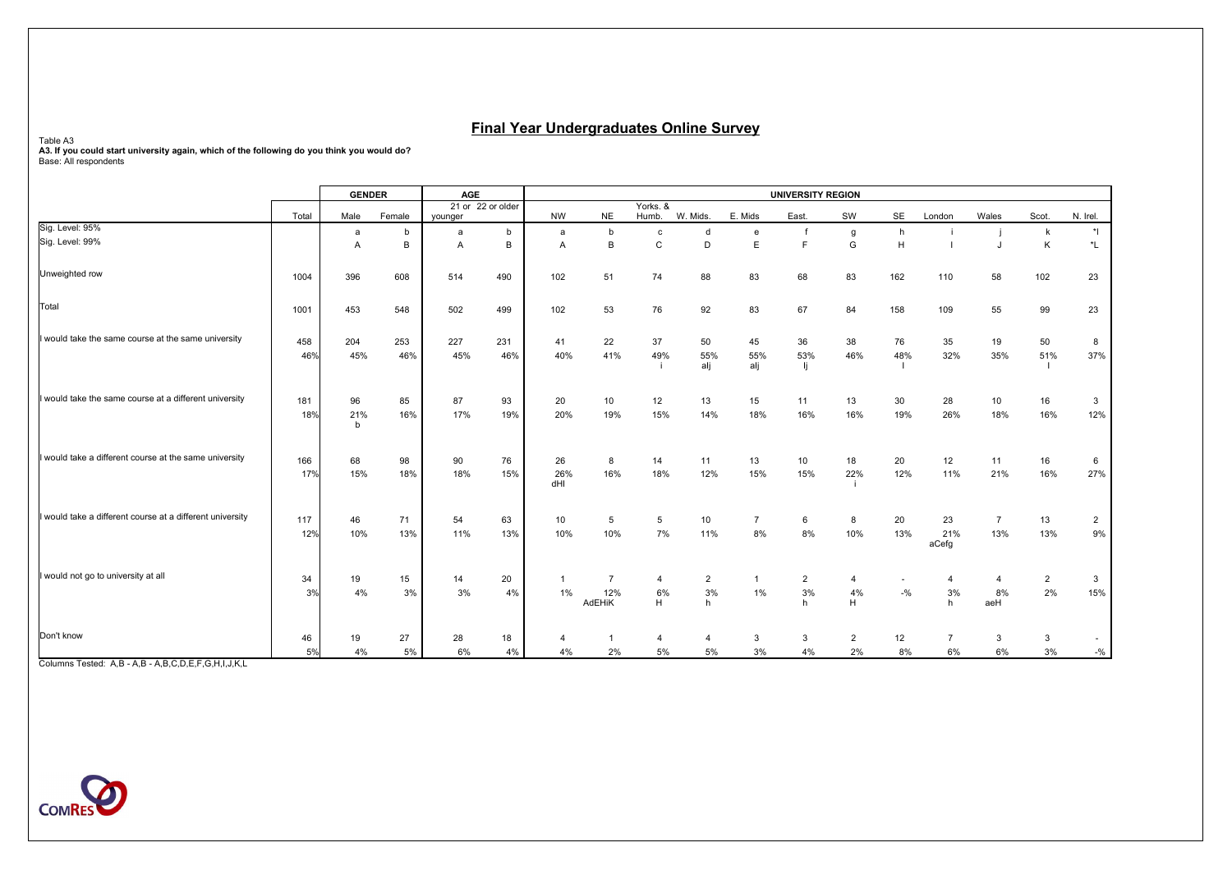Table A3<br>**A3. If you could start university again, which of the following do you think you would do?**<br>Base: All respondents

|                                                           |       | <b>GENDER</b> |        | <b>AGE</b> |                   | <b>UNIVERSITY REGION</b> |                |                   |                    |                |                |                |         |                |                 |                   |                      |
|-----------------------------------------------------------|-------|---------------|--------|------------|-------------------|--------------------------|----------------|-------------------|--------------------|----------------|----------------|----------------|---------|----------------|-----------------|-------------------|----------------------|
|                                                           | Total | Male          | Female |            | 21 or 22 or older | <b>NW</b>                | <b>NE</b>      | Yorks. &<br>Humb. | W. Mids.           | E. Mids        | East.          | SW             | SE      | London         | Wales           | Scot.             | N. Irel.             |
| Sig. Level: 95%                                           |       |               |        | vounger    |                   |                          |                |                   |                    |                |                |                |         |                |                 |                   |                      |
| Sig. Level: 99%                                           |       | a<br>A        | b<br>B | a<br>A     | b<br>B            | a<br>A                   | b<br>B         | $\mathbf{c}$<br>C | d<br>D             | e<br>E.        | F              | g<br>G         | h<br>H. |                |                 | $\mathsf{k}$<br>K | $\ddot{\phantom{1}}$ |
|                                                           |       |               |        |            |                   |                          |                |                   |                    |                |                |                |         |                |                 |                   | *L                   |
| Unweighted row                                            | 1004  | 396           | 608    | 514        | 490               | 102                      | 51             | 74                | 88                 | 83             | 68             | 83             | 162     | 110            | 58              | 102               | 23                   |
| Total                                                     | 1001  | 453           | 548    | 502        | 499               | 102                      | 53             | 76                | 92                 | 83             | 67             | 84             | 158     | 109            | 55              | 99                | 23                   |
| I would take the same course at the same university       | 458   | 204           | 253    | 227        | 231               | 41                       | 22             | 37                | 50                 | 45             | 36             | 38             | 76      | 35             | 19              | 50                | 8                    |
|                                                           | 46%   | 45%           | 46%    | 45%        | 46%               | 40%                      | 41%            | 49%               | 55%                | 55%            | 53%            | 46%            | 48%     | 32%            | 35%             | 51%               | 37%                  |
|                                                           |       |               |        |            |                   |                          |                |                   | alj                | alj            | lj.            |                |         |                |                 |                   |                      |
| I would take the same course at a different university    |       |               |        |            |                   |                          |                |                   |                    |                |                |                |         |                |                 |                   |                      |
|                                                           | 181   | 96            | 85     | 87         | 93                | 20                       | 10             | 12                | 13                 | 15             | 11             | 13             | 30      | 28             | 10 <sup>1</sup> | 16                | $\mathbf{3}$         |
|                                                           | 18%   | 21%<br>b      | 16%    | 17%        | 19%               | 20%                      | 19%            | 15%               | 14%                | 18%            | 16%            | 16%            | 19%     | 26%            | 18%             | 16%               | 12%                  |
| I would take a different course at the same university    | 166   | 68            | 98     | 90         | 76                | 26                       | 8              | 14                | 11                 | 13             | 10             | 18             | 20      | 12             | 11              | 16                | 6                    |
|                                                           | 17%   | 15%           | 18%    | 18%        | 15%               | 26%<br>dHI               | 16%            | 18%               | 12%                | 15%            | 15%            | 22%            | 12%     | 11%            | 21%             | 16%               | 27%                  |
| I would take a different course at a different university | 117   | 46            | 71     | 54         | 63                | 10                       | 5              | 5                 | 10                 | $\overline{7}$ | 6              | 8              | 20      | 23             | $\overline{7}$  | 13                | $\mathbf{2}$         |
|                                                           | 12%   | 10%           | 13%    | 11%        | 13%               | 10%                      | 10%            | 7%                | 11%                | 8%             | 8%             | 10%            | 13%     | 21%            | 13%             | 13%               | 9%                   |
|                                                           |       |               |        |            |                   |                          |                |                   |                    |                |                |                |         | aCefg          |                 |                   |                      |
| I would not go to university at all                       | 34    | 19            | 15     | 14         | 20                | $\mathbf{1}$             | $\overline{7}$ | $\overline{4}$    | $\overline{2}$     | $\mathbf{1}$   | $\overline{2}$ | $\overline{4}$ | ٠       | 4              | $\overline{4}$  | $\overline{2}$    | 3                    |
|                                                           | 3%    | 4%            | 3%     | 3%         | 4%                | 1%                       | 12%            | 6%                | 3%                 | $1\%$          | $3\%$          | 4%             | $-9/6$  | 3%             | 8%              | 2%                | 15%                  |
|                                                           |       |               |        |            |                   |                          | AdEHiK         | H                 | h                  |                | h              | H              |         | h              | aeH             |                   |                      |
| Don't know                                                | 46    | 19            | 27     | 28         | 18                | 4                        | 1              | 4                 | $\overline{\bf 4}$ | 3              | 3              | $\overline{2}$ | 12      | $\overline{7}$ | 3               | $\mathbf{3}$      |                      |
|                                                           | 5%    | 4%            | 5%     | 6%         | 4%                | 4%                       | 2%             | 5%                | 5%                 | 3%             | 4%             | 2%             | 8%      | 6%             | 6%              | 3%                | $- \frac{0}{0}$      |

Columns Tested: A,B - A,B - A,B,C,D,E,F,G,H,I,J,K,L